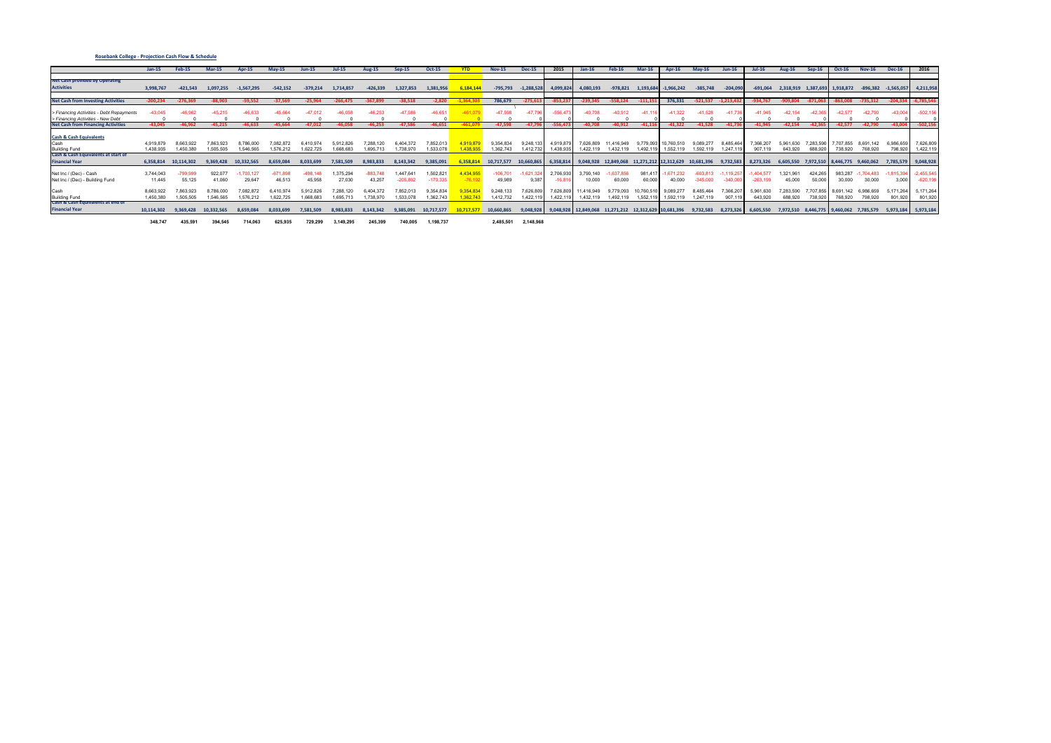|                                                                               | $Jan-15$   | <b>Feb-15</b> | <b>Mar-15</b> | <b>Apr-15</b> | $May-15$   | $Jun-15$   | <b>Jul-15</b> | <b>Aug-15</b> | $Sep-15$   | <b>Oct-15</b> |           | <b>Nov-15</b> | <b>Dec-15</b> |           |                      |                                  |          |              | $Mav-16$                         |            |              | Aug-16    | $Sen-16$  |                               |               | <b>Dec-16</b>          | 2016                |
|-------------------------------------------------------------------------------|------------|---------------|---------------|---------------|------------|------------|---------------|---------------|------------|---------------|-----------|---------------|---------------|-----------|----------------------|----------------------------------|----------|--------------|----------------------------------|------------|--------------|-----------|-----------|-------------------------------|---------------|------------------------|---------------------|
|                                                                               |            |               |               |               |            |            |               |               |            |               |           |               |               |           |                      |                                  |          |              |                                  |            |              |           |           |                               |               |                        |                     |
| <b>Net Cash provided by Operating</b>                                         |            |               |               |               |            |            |               |               |            |               |           |               |               |           |                      |                                  |          |              |                                  |            |              |           |           |                               |               |                        |                     |
| <b>Activities</b>                                                             | 3,998,767  | $-421.543$    | 1.097.255     | $-1,567,295$  | $-542,152$ | $-379,214$ | 1,714,857     | $-426,339$    | 1,327,853  | 1,381,95      | 6,184,1   | $-795,793$    | $-1,288,528$  | 4,099,824 | 4,080,193            | -978,821                         | 1,193,68 | $-1,966,242$ | $-385,748$                       | $-204,090$ | $-691,064$   | 2,318,919 |           | 1,387,693 1,918,872           | $-896,382$    | $-1,565,057$ 4,211,958 |                     |
|                                                                               |            |               |               |               |            |            |               |               |            |               |           |               |               |           |                      |                                  |          |              |                                  |            |              |           |           |                               |               |                        |                     |
| <b>Net Cash from Investing Activities</b>                                     | $-200.234$ | $-276.369$    | $-88.903$     | $-59.552$     | $-37,569$  | $-25.964$  | $-266.475$    | -367,89!      | $-38.518$  | $-2.820$      |           | 786,679       | $-275.61$     |           | $-239.345$           | $-558.124$                       |          | 376,331      | $-521,537$                       | $-1.213.$  |              | -909.804  |           | 53.008                        | $-735.312$    | $-204,33$              | $-6,785,546$        |
|                                                                               |            | 46.962        |               |               |            |            |               |               | -47.586    |               |           |               |               |           |                      |                                  |          | 1.322        |                                  |            |              |           |           | $-42.577$                     | $-42.790$     |                        |                     |
| > Financing Activities - Debt Repayments<br>> Financing Activities - New Debt | $-43.045$  |               |               |               |            |            |               |               |            | $-46,651$     |           |               |               |           |                      |                                  |          |              |                                  |            |              |           |           |                               |               | $-43.00$               | $-502,156$          |
| <b>Net Cash from Financing Activities</b>                                     | $-43.045$  | $-46.962$     | $-45.215$     | $-46.633$     | $-45.664$  | $-47.012$  | $-46.058$     | $-46.253$     | $-47.586$  | $-46.651$     |           | $-47.598$     | $-47.7$       |           | 40.70                | $-40.912$                        | -41.11   | $-41.322$    | $-41.528$                        | $-41.73$   | $-41.945$    | $-42.154$ | $-42.3$   | $-42.577$                     | $-42.790$     | $-43.00$               | $-502,156$          |
|                                                                               |            |               |               |               |            |            |               |               |            |               |           |               |               |           |                      |                                  |          |              |                                  |            |              |           |           |                               |               |                        |                     |
| <b>Cash &amp; Cash Equivalents</b>                                            |            |               |               |               |            |            |               |               |            |               |           |               |               |           |                      |                                  |          |              |                                  |            |              |           |           |                               |               |                        |                     |
| Cash                                                                          | 4,919,879  | 8.663.922     | 7.863.92      | 8,786,000     | .082.872   | 6.410.974  | 5.912.82      | 7.288.120     | 6,404,372  | 7,852,01      | ,919.87   | 9,354,834     | 9.248.13      | 4.919.879 | 7,626,809            | 11.416.949                       |          | 0,760,510    | 9,089,277                        | 8,485,464  |              | 5,961,630 | 7.283.590 | 707,855                       | 8.691.<br>142 | 6,986,6                | 7,626,809           |
| <b>Building Fund</b>                                                          | 1,438,935  | 1,450,380     | 1.505.505     | 1,546,565     | 1,576,212  | 1.622.725  | 1.668.683     | 1.695.713     | 1.738.970  | 1.533.078     | 1.438.93  | 1.362.743     | 1.412.732     | 1.438.935 | 1,422,119            | 1,432,119                        | 1.492.1  | 1,552,119    | 1.592.119                        | 1.247.119  | 907.119      | 643.920   | 688,920   | 738,920                       | 768,920       | 798.92                 | 1,422,119           |
| Cash & Cash Equivalents at start of                                           |            |               |               |               |            |            |               |               |            |               |           |               |               |           |                      |                                  |          |              |                                  |            |              |           |           |                               |               |                        |                     |
| <b>Financial Year</b>                                                         | 6,358,814  | 10,114,302    | 9.369.428     | 10,332,565    | 8.659.084  | 8.033.699  | 7,581,509     | 8.983.833     | 8,143,342  | 9,385,091     | ,358.81   | 10,717,577    | 10,660,865    |           | 6,358,814 9,048,928  | 12,849,068                       |          |              | 11,271,212 12,312,629 10,681,396 | 9,732,583  | 8,273,326    | 6.605.550 | 7,972,510 | 8,446,775 9,460,062           |               |                        | 7,785,579 9,048,928 |
|                                                                               |            |               |               |               |            |            |               |               |            |               |           |               |               |           |                      |                                  |          |              |                                  |            |              |           |           |                               |               |                        |                     |
| Net Inc / (Dec) - Cash                                                        | 3,744,043  |               | 922,077       | $-1.703.12$   | $-671.898$ | $-498.148$ | .375.29       | 883.748       | 1.447.641  | 1,502,82      | 4,434,955 | $-106.701$    | 1.621.32      | 2.706.930 | 3,790,140            |                                  | 981,41   | 1.671.232    | -603.813                         | ,119,257   | $-1.404.577$ | 1,321,96  | 424,265   | 983,287                       | 704.483       | 815,3                  | $-2,455,545$        |
| Net Inc / (Dec) - Building Fund                                               | 11,445     | 55,125        | 41,060        | 29,647        | 46,513     | 45,958     | 27,030        | 43,257        | $-205.892$ | $-170,335$    | $-76.19$  | 49,989        | 9,387         | -16.81    | 10,000               | 60,000                           | 60,000   | 40,000       | $-345.000$                       | $-340,000$ | $-263,199$   | 45,000    | 50,000    | 30,000                        | 30,000        | 3,000                  | $-620,19$           |
| Cash                                                                          | 8,663,922  | .863.923      | 1.786.000     | $'$ 082.872   |            |            | 7,288,1       |               | 7.852.01   | 9,354,83      | 9.354.83  | 9,248,133     | 7,626,809     | 7,626,809 | 11,416,949           |                                  | 10,760,5 | 9,089,277    | 8.485.464                        | 7,366,207  | 5,961,630    | 7,283,590 | 7,707,855 | 8,691,142                     | 6,986,659     | 5,171,26               | 5,171,264           |
| <b>Building Fund</b>                                                          | 1,450,380  | 1,505,505     | 1.546.565     | 1.576.212     | 1,622,725  | 1.668.68   | 1.695.713     | 1,738,970     | 1.533.078  | 1.362.743     | .362.74   | 1,412,732     | 1.422.1       | .422.     | 1,432,119            | 1,492,119                        | 1.552.   | 1,592,119    | 1,247,119                        | 907,119    | 643.920      | 688.920   | 738,920   | 768,920                       | 798,920       | 801,92                 | 801,920             |
| Cash & Cash Equivalents at end of                                             |            |               |               |               |            |            |               |               |            |               |           |               |               |           |                      |                                  |          |              |                                  |            |              |           |           |                               |               |                        |                     |
| <b>Financial Year</b>                                                         | 10,114,302 | 9,369,428     | 10,332,565    | 8,659,084     | 8,033,699  | 7,581,509  | 8,983,833     | 8,143,342     | 9,385,091  | 10,717,577    | 10.717.57 | 10,660,865    | 9,048,928     |           | 9,048,928 12,849,068 | 11,271,212 12,312,629 10,681,396 |          |              | 9,732,583                        | 8,273,326  | 6,605,550    | 7,972,510 |           | 8,446,775 9,460,062 7,785,579 |               | 5,973,184 5,973,184    |                     |
|                                                                               |            |               |               |               |            |            |               |               |            |               |           |               |               |           |                      |                                  |          |              |                                  |            |              |           |           |                               |               |                        |                     |
|                                                                               | 348,747    | 435,591       | 394,545       | 714,063       | 625,935    | 729,299    | 3,149,295     | 245,399       | 740.005    | 1,198,737     |           | 2,485,501     | 2,148,968     |           |                      |                                  |          |              |                                  |            |              |           |           |                               |               |                        |                     |

### **Rosebank College ‐ Projection Cash Flow & Schedule**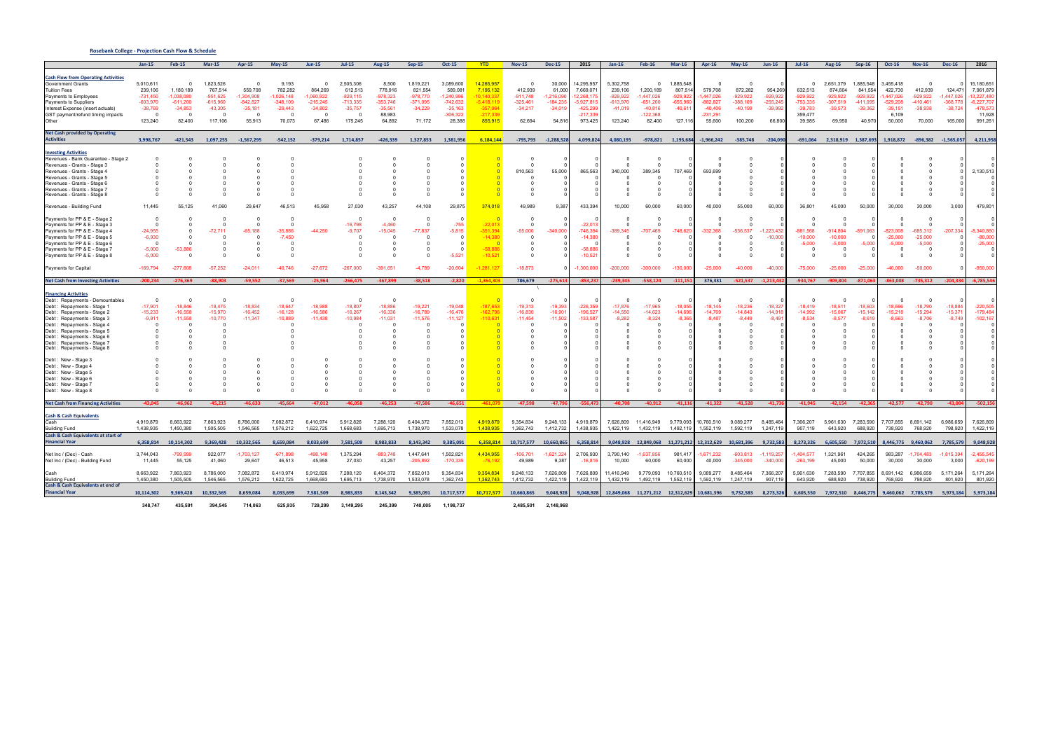|                                                                                                                                                                                                                                                                                                                                                               | $Jan-15$                                                                           | <b>Feb-15</b>                                                                                             | $Mar-15$                                                                             | $Apr-15$                                                            | $May-15$                                                                          | <b>Jun-15</b>                                                                           | $Jul-15$                                                                              | <b>Aug-15</b>                                                                     | $Sep-15$                                                                | <b>Oct-15</b>                                                                      | <b>YTD</b>                                                                                   | <b>Nov-15</b>                                                            | <b>Dec-15</b>                                                    | 2015                                                                                     | $Jan-16$                                                            | <b>Feb-16</b>                                                                | $Mar-16$                                                                | <b>Apr-16</b>                                                     | $May-16$                                                                           | $Jun-16$                                                | $Jul-16$                                                                          | <b>Aug-16</b>                                                           | $Sep-16$                                                            | <b>Oct-16</b>                                                                  | <b>Nov-16</b>                                                                     | <b>Dec-16</b>                                               | 2016                                                                                     |
|---------------------------------------------------------------------------------------------------------------------------------------------------------------------------------------------------------------------------------------------------------------------------------------------------------------------------------------------------------------|------------------------------------------------------------------------------------|-----------------------------------------------------------------------------------------------------------|--------------------------------------------------------------------------------------|---------------------------------------------------------------------|-----------------------------------------------------------------------------------|-----------------------------------------------------------------------------------------|---------------------------------------------------------------------------------------|-----------------------------------------------------------------------------------|-------------------------------------------------------------------------|------------------------------------------------------------------------------------|----------------------------------------------------------------------------------------------|--------------------------------------------------------------------------|------------------------------------------------------------------|------------------------------------------------------------------------------------------|---------------------------------------------------------------------|------------------------------------------------------------------------------|-------------------------------------------------------------------------|-------------------------------------------------------------------|------------------------------------------------------------------------------------|---------------------------------------------------------|-----------------------------------------------------------------------------------|-------------------------------------------------------------------------|---------------------------------------------------------------------|--------------------------------------------------------------------------------|-----------------------------------------------------------------------------------|-------------------------------------------------------------|------------------------------------------------------------------------------------------|
| <b>Cash Flow from Operating Activities</b><br><b>Government Grants</b><br><b>Tuition Fees</b><br>Payments to Employees<br>Payments to Suppliers<br>Interest Expense (insert actuals)<br>GST payment/refund timing impacts                                                                                                                                     | 5,010,611<br>239,106<br>$-731,450$<br>-603,970<br>$-38,769$<br>$\Omega$<br>123,240 | $\mathbf{0}$<br>1,180,189<br>$-1.038.080$<br>$-611,200$<br>$-34,853$<br>$\overline{\mathbf{0}}$<br>82,400 | 1,823,526<br>767,514<br>$-951.625$<br>$-615,960$<br>$-43,305$<br>$\Omega$<br>117,106 | 559,708<br>$-1,304,908$<br>$-842,827$<br>$-35,181$<br>- 0<br>55,913 | 9,193<br>782,282<br>$-1,026,148$<br>$-348.109$<br>$-29,443$<br>$\Omega$<br>70,073 | $\mathbf 0$<br>864,269<br>$-1,060,922$<br>$-215,245$<br>$-34,802$<br>$\Omega$<br>67,486 | 2,505,306<br>612,513<br>$-829, 115$<br>$-713,335$<br>$-35,757$<br>$\Omega$<br>175,245 | 8,500<br>778,916<br>$-978,323$<br>$-353.746$<br>$-35,561$<br>88,983<br>64,892     | 1,819,221<br>821,554<br>$-978,770$<br>$-371,095$<br>$-34,229$<br>71,172 | 3,089,600<br>589,081<br>1,240,996<br>$-742,632$<br>$-35,163$<br>-306,322<br>28,388 | 14,265,957<br>7,195,132<br>10.140.337<br>$-5.418.119$<br>$-357,064$<br>$-217.339$<br>855.915 | $^{\circ}$<br>412,939<br>$-911.748$<br>$-325.461$<br>$-34,217$<br>62,694 | 30,000<br>61,000<br>1,216,09<br>$-184,235$<br>$-34,01$<br>54,816 | 14,295,957<br>7,669,071<br>2,268,17<br>$-5,927,81$<br>$-425,299$<br>$-217.33$<br>973,425 | 5,302,758<br>239,106<br>929,922<br>-613,970<br>$-41,019$<br>123,240 | 1,200,189<br>$-1,447,026$<br>$-651,200$<br>$-40,816$<br>$-122,368$<br>82,400 | 1,885,548<br>807,514<br>$-929,922$<br>$-655.960$<br>$-40,61$<br>127,116 | 579,708<br>447.026<br>-882.827<br>$-40,406$<br>-231,291<br>55,600 | $\mathbf 0$<br>872,282<br>$-929,922$<br>$-388.109$<br>$-40,199$<br>100,200         | 954,269<br>$-929,92$<br>$-255,24$<br>$-39,99$<br>66,800 | $\Omega$<br>632,513<br>$-929.922$<br>$-753.335$<br>$-39,783$<br>359,477<br>39,985 | 2,651,379<br>874,604<br>-929,922<br>$-307.519$<br>$-39,573$<br>69,950   | 1,885,548<br>841,554<br>-929.92<br>$-411.09$<br>$-39,362$<br>40,970 | 3,455,418<br>422,730<br>.447.026<br>$-529.208$<br>$-39,151$<br>6,109<br>50,000 | $\overline{0}$<br>412,939<br>$-929,922$<br>$-410,461$<br>$-38,938$<br>70,000      | 124,471<br>$-1.447.02$<br>$-368.77$<br>$-38,724$<br>165,000 | 15,180,651<br>7,961,879<br>13,227,480<br>$-6.227.707$<br>$-478,573$<br>11,928<br>991,261 |
| <b>Net Cash provided by Operating</b><br><b>Activities</b>                                                                                                                                                                                                                                                                                                    | 3,998,767                                                                          | $-421,543$                                                                                                | 1,097,255                                                                            | $-1,567,295$                                                        | $-542,152$                                                                        | $-379,214$                                                                              | 1,714,857                                                                             | $-426,339$                                                                        | 1,327,853                                                               | 1,381,956                                                                          | 6,184,144                                                                                    |                                                                          | -795,793 -1,288,528                                              | 4,099,824                                                                                | 4,080,193                                                           |                                                                              | -978,821 1,193,684                                                      | $-1,966,242$                                                      | $-385,748$                                                                         | $-204,090$                                              |                                                                                   | -691,064 2,318,919 1,387,693                                            |                                                                     |                                                                                | 1,918,872 -896,382 -1,565,057                                                     |                                                             | 4,211,958                                                                                |
| <b>Investing Activities</b><br>Revenues - Bank Guarantee - Stage 2<br>Revenues - Grants - Stage 3<br>Revenues - Grants - Stage 4<br>Revenues - Grants - Stage !<br>Revenues - Grants - Stage<br>Revenues - Grants - Stage 7<br>Revenues - Grants - Stage &                                                                                                    |                                                                                    |                                                                                                           |                                                                                      |                                                                     |                                                                                   |                                                                                         |                                                                                       |                                                                                   |                                                                         |                                                                                    |                                                                                              | 810,563                                                                  | 55,000                                                           | 865,563                                                                                  | 340,000                                                             | 389,345                                                                      | 707,469                                                                 | 693,699                                                           | - 0                                                                                |                                                         |                                                                                   |                                                                         |                                                                     |                                                                                |                                                                                   |                                                             | 2,130,513                                                                                |
| Revenues - Building Fund                                                                                                                                                                                                                                                                                                                                      | 11,445                                                                             | 55,125                                                                                                    | 41,060                                                                               | 29,647                                                              | 46,513                                                                            | 45,958                                                                                  | 27,030                                                                                | 43,257                                                                            | 44,108                                                                  | 29,875                                                                             | 374,018                                                                                      | 49,989                                                                   | 9,387                                                            | 433,394                                                                                  | 10,000                                                              | 60,000                                                                       | 60,000                                                                  | 40,000                                                            | 55,000                                                                             | 60,000                                                  | 36,801                                                                            | 45,000                                                                  | 50,000                                                              | 30,000                                                                         | 30,000                                                                            | 3,000                                                       | 479,801                                                                                  |
| Payments for PP & E - Stage 2<br>Payments for PP & E - Stage 3<br>Payments for PP & E - Stage 4<br>Payments for PP & E - Stage 5<br>Payments for PP & E - Stage 6<br>Payments for PP & E - Stage 7<br>Payments for PP & E - Stage 8                                                                                                                           | $-24,955$<br>$-6,930$<br>- 0<br>$-5,000$<br>$-5,000$                               | $\Omega$<br>- 0<br>$-53,886$<br>$\Omega$                                                                  | $\Omega$<br>$\Omega$<br>$-72,711$<br>$\Omega$<br>$\Omega$<br>$\Omega$<br>$\Omega$    | $-65,188$                                                           | $\Omega$<br>$\Omega$<br>$-35.886$<br>$-7,450$                                     | $-44,250$                                                                               | $-16,798$<br>$-9,707$                                                                 | $\Omega$<br>$-4.460$<br>$-15,045$<br>$\Omega$<br>$\Omega$<br>$\Omega$<br>$\Omega$ | $\Omega$<br>$-77,837$<br>$\Omega$                                       | $-755$<br>$-5,815$<br>$\sqrt{ }$<br>$-5,521$                                       | $-22,013$<br>351.394<br>$-14,380$<br>$-58.886$<br>$-10,521$                                  | $-55,000$<br>$\sqrt{ }$<br>- 0<br>റ<br>റ                                 | $-340,00$                                                        | $-22.01$<br>$-746.39$<br>$-14,38$<br>$-58.85$<br>$-10,52$                                | 389,345                                                             | $-707.469$                                                                   | $-748.620$                                                              | $-332.368$                                                        | $\Omega$<br>$\Omega$<br>$-536.537$<br>$\Omega$<br>$\Omega$<br>$\Omega$<br>$\Omega$ | $-1.223.43$<br>$-10,00$                                 | $-881.568$<br>$-10,000$<br>$-5,000$<br>$\Omega$                                   | $\Omega$<br>$-914,804$<br>$-10,000$<br>$-5,000$<br>$\Omega$<br>$\Omega$ | $-891,063$<br>-5,000                                                | -823,008<br>$-25,000$<br>$-5,000$<br>$\Omega$                                  | $\Omega$<br>$\Omega$<br>-685,312<br>$-25,000$<br>$-5,000$<br>$\Omega$<br>$\Omega$ | $-207,334$                                                  | $-8,340,860$<br>$-80,000$<br>$-25,000$                                                   |
| Payments for Capital                                                                                                                                                                                                                                                                                                                                          | -169,794                                                                           | $-277,608$                                                                                                | $-57,252$                                                                            | $-24,011$                                                           | $-40,746$                                                                         | $-27,672$                                                                               | $-267,000$                                                                            | $-391,651$                                                                        | $-4,789$                                                                | $-20,604$                                                                          | $-1,281,127$                                                                                 | $-18,873$                                                                |                                                                  | $-1,300,00$                                                                              | 200,000                                                             | $-300,000$                                                                   | $-130,000$                                                              | $-25,000$                                                         | $-40,000$                                                                          | $-40,00$                                                | $-75,000$                                                                         | $-25,000$                                                               | $-25.00$                                                            | $-40,000$                                                                      | -50,000                                                                           |                                                             | $-950,000$                                                                               |
| <b>Net Cash from Investing Activities</b>                                                                                                                                                                                                                                                                                                                     | $-200,234$                                                                         | $-276,369$                                                                                                | $-88.903$                                                                            | $-59,552$                                                           | $-37,569$                                                                         | $-25,964$                                                                               | $-266,475$                                                                            | $-367,899$                                                                        | $-38,518$                                                               | $-2,820$                                                                           | $-1.364.303$                                                                                 | 786,679                                                                  | $-275,61$                                                        | $-853,2$                                                                                 | $-239,345$                                                          | $-558,124$                                                                   | $-111,151$                                                              | 376,331                                                           | $-521,537 -1,213,43$                                                               |                                                         | -934,767                                                                          | -909,804 -871,06                                                        |                                                                     |                                                                                | -863,008 -735,312                                                                 | $-204,33$                                                   | $-6,785,546$                                                                             |
| <b>Financing Activities</b><br>Debt : Repayments - Demountables<br>Debt: Repayments - Stage<br>Debt : Repayments - Stage 2<br>Debt : Repayments - Stage 3<br>Debt: Repayments - Stage 4<br>Debt : Repayments - Stage 5<br>Debt : Repayments - Stage 6<br>Debt : Repayments - Stage<br>Debt : Repayments - Stage<br>Debt: New - Stage 3<br>Debt: New - Stage 4 | $\overline{0}$<br>$-17,901$<br>$-15,233$<br>$-9,911$<br>$\Omega$                   | - 0<br>$-18,846$<br>$-16,558$<br>$-11,558$                                                                | $\Omega$<br>$-18,475$<br>$-15,970$<br>$-10,770$                                      | $-18.834$<br>$-16,452$<br>$-11,347$                                 | $\Omega$<br>$-18,647$<br>$-16, 128$<br>$-10,889$                                  | $-18,988$<br>$-16,586$<br>$-11,438$                                                     | $-18,807$<br>$-16,267$<br>$-10,984$                                                   | $\Omega$<br>$-18.886$<br>$-16,336$<br>$-11,031$                                   | $-19,221$<br>$-16,789$<br>$-11,576$                                     | $-19,048$<br>$-16,476$<br>$-11,127$                                                | $-187.653$<br>$-16279$<br>$-110,631$                                                         | $-19,313$<br>$-16,830$<br>$-11,454$                                      | $-19.39$<br>$-16,90$<br>$-11,50$                                 | $-226.35$<br>$-196.52$<br>$-133,58$                                                      | $-17,876$<br>$-14,550$<br>$-8,282$                                  | $-17,965$<br>$-14,623$<br>$-8,324$                                           | $-18.055$<br>$-14,696$<br>$-8.365$                                      | $-18.145$<br>$-14,769$<br>$-8.407$                                | - 0<br>$-18,236$<br>$-14,843$<br>$-8.449$<br>- 0<br>- 0                            | $-18.32$<br>$-14,91$<br>$-8.49$                         | $-18.419$<br>$-14,992$<br>$-8.534$                                                | $-18,511$<br>$-15,067$<br>$-8.577$                                      | $-18.603$<br>$-15, 14$<br>$-8.61$                                   | 18.696<br>$-15,218$<br>8.663                                                   | $\Omega$<br>$-18,790$<br>$-15,294$<br>$-8,706$<br>$\Omega$                        | $-18.85$<br>$-15,37$<br>$-8.74$                             | $-220,505$<br>$-179,484$<br>$-102, 167$                                                  |
| Debt: New - Stage 5<br>Debt: New - Stage 6<br>Debt : New - Stage 7<br>Debt: New - Stage 8                                                                                                                                                                                                                                                                     |                                                                                    |                                                                                                           |                                                                                      |                                                                     |                                                                                   |                                                                                         |                                                                                       |                                                                                   |                                                                         |                                                                                    |                                                                                              |                                                                          |                                                                  |                                                                                          |                                                                     |                                                                              |                                                                         |                                                                   |                                                                                    |                                                         |                                                                                   |                                                                         |                                                                     |                                                                                |                                                                                   |                                                             |                                                                                          |
| <b>Net Cash from Financing Activities</b><br><b>Cash &amp; Cash Equivalents</b><br>Cash<br><b>Building Fund</b>                                                                                                                                                                                                                                               | $-43,045$<br>4,919,879<br>1,438,935                                                | $-46.962$<br>8.663.922<br>1,450,380                                                                       | $-45,215$<br>7.863.923<br>1,505,505                                                  | $-46.633$<br>8,786,000<br>1,546,565                                 | $-45.664$<br>7.082.872<br>1,576,212                                               | $-47.012$<br>6,410,974<br>1,622,725                                                     | $-46.058$<br>5,912,826<br>1,668,683                                                   | $-46,253$<br>7.288.120<br>1,695,713                                               | $-47,586$<br>6.404.372<br>1,738,970                                     | $-46,651$<br>7,852,013<br>1,533,078                                                | $-461,079$<br>4.919.879<br>1,438,935                                                         | -47,598<br>9.354.834<br>1,362,743                                        | $-47,79$<br>9.248.133<br>1,412,73                                | $-556,47$<br>4.919.879<br>1,438,935                                                      | $-40,708$<br>1,422,119                                              | $-40,912$<br>7.626.809 11.416.949 9.779.093<br>1,432,119                     | $-41,116$<br>1,492,11                                                   | $-41,322$<br>10.760.510<br>1,552,119                              | $-41,528$<br>9.089.277<br>1,592,119                                                | $-41,73$<br>8.485.464<br>1,247,11                       | $-41,945$<br>7.366.207<br>907,119                                                 | 5.961.630<br>643,920                                                    | $-42,154$ $-42,36$<br>7.283.590<br>688,920                          | $-42,577$<br>738,920                                                           | $-42,790$<br>7.707.855 8.691.142<br>768,920                                       | $-43,004$<br>6.986.659<br>798,920                           | $-502,156$<br>7,626,809<br>1,422,119                                                     |
| Cash & Cash Equivalents at start of                                                                                                                                                                                                                                                                                                                           |                                                                                    |                                                                                                           |                                                                                      |                                                                     |                                                                                   |                                                                                         |                                                                                       |                                                                                   |                                                                         |                                                                                    |                                                                                              |                                                                          |                                                                  |                                                                                          |                                                                     |                                                                              |                                                                         |                                                                   |                                                                                    |                                                         |                                                                                   |                                                                         |                                                                     |                                                                                |                                                                                   |                                                             |                                                                                          |
| <b>Financial Year</b><br>Net Inc / (Dec) - Cash<br>Net Inc / (Dec) - Building Fund                                                                                                                                                                                                                                                                            | 6,358,814<br>3,744,043<br>11,445                                                   | 10,114,302<br>$-799,999$<br>55,125                                                                        | 9,369,428<br>922,077<br>41,060                                                       | 10,332,565<br>$-1,703,127$<br>29,647                                | 8,659,084<br>$-671,898$<br>46,513                                                 | 8,033,699<br>$-498,148$<br>45,958                                                       | 7,581,509<br>1,375,294<br>27,030                                                      | 8,983,833<br>$-883,748$<br>43,257                                                 | 8,143,342<br>1,447,641<br>$-205,892$                                    | 9,385,091<br>1,502,821<br>$-170,335$                                               | 6,358,814<br>4,434,955<br>$-76,192$                                                          | 10,717,577<br>$-106,701$<br>49,989                                       | 10,660,865<br>$-1,621,32$<br>9,387                               | 6,358,814<br>2,706,930<br>$-16,816$                                                      | 9,048,928<br>3,790,140<br>10,000                                    | 12,849,068 11,271,212<br>$-1,637,856$<br>60,000                              | 981,417<br>60,000                                                       | .671,232<br>40,000                                                | 12,312,629 10,681,396<br>$-603,813$<br>$-345,000$                                  | 9,732,583<br>$-1,119,25$<br>$-340,000$                  | 8,273,326<br>$-1,404,577$<br>$-263,199$                                           | 6,605,550 7,972,510<br>1,321,961<br>45,000                              | 424,265<br>50,000                                                   | 983,287<br>30,000                                                              | 8,446,775 9,460,062<br>$-1,704,483$<br>30,000                                     | 7,785,579<br>$-1,815,39$<br>3,000                           | 9,048,928<br>$-2,455,545$<br>$-620,199$                                                  |
| <b>Building Fund</b><br>Cash & Cash Equivalents at end of                                                                                                                                                                                                                                                                                                     | 8,663,922<br>1,450,380                                                             | 7,863,923<br>1,505,505                                                                                    | 8,786,000<br>1,546,565                                                               | 7,082,872<br>1,576,212                                              | 6,410,974<br>1,622,725                                                            | 5,912,826<br>1,668,683                                                                  | 7,288,120<br>1,695,713                                                                | 6,404,372<br>1,738,970                                                            | 7,852,013<br>1,533,078                                                  | 9,354,834<br>1,362,743                                                             | 9.354.834<br>1,362,743                                                                       | 9,248,133<br>1,412,732                                                   | 7,626,809<br>1,422,119                                           | 7,626,809<br>1,422,119                                                                   | 11,416,949<br>1,432,119                                             | 9,779,093<br>1,492,119                                                       | 10,760,510<br>1,552,119                                                 | 9,089,277<br>1,592,119                                            | 8,485,464<br>1,247,119                                                             | 7,366,20<br>907,11                                      | 5,961,630<br>643,920                                                              | 7,283,590<br>688,920                                                    | 7,707,855<br>738,920                                                | 8,691,142<br>768,920                                                           | 6,986,659<br>798,920                                                              | 5,171,264<br>801,920                                        | 5,171,264<br>801,920                                                                     |
| <b>Financial Year</b>                                                                                                                                                                                                                                                                                                                                         | 10,114,302                                                                         | 9,369,428                                                                                                 | 10,332,565                                                                           | 8,659,084                                                           | 8,033,699                                                                         | 7,581,509                                                                               | 8,983,833                                                                             | 8,143,342                                                                         | 9,385,091                                                               | 10,717,577                                                                         | 10,717,577                                                                                   | 10,660,865                                                               | 9.048.928                                                        | 9,048,928                                                                                |                                                                     | 12,849,068 11,271,212 12,312,629                                             |                                                                         | 10,681,396                                                        | 9,732,583                                                                          | 8,273,326                                               | 6,605,550                                                                         | 7,972,510 8,446,775                                                     |                                                                     |                                                                                | 9,460,062 7,785,579                                                               | 5,973,184                                                   | 5,973,184                                                                                |
|                                                                                                                                                                                                                                                                                                                                                               | 348,747                                                                            | 435,591                                                                                                   | 394,545                                                                              | 714,063                                                             | 625,935                                                                           | 729,299                                                                                 | 3,149,295                                                                             | 245,399                                                                           | 740,005                                                                 | 1,198,737                                                                          |                                                                                              | 2,485,501                                                                | 2,148,968                                                        |                                                                                          |                                                                     |                                                                              |                                                                         |                                                                   |                                                                                    |                                                         |                                                                                   |                                                                         |                                                                     |                                                                                |                                                                                   |                                                             |                                                                                          |

### **Rosebank College ‐ Projection Cash Flow & Schedule**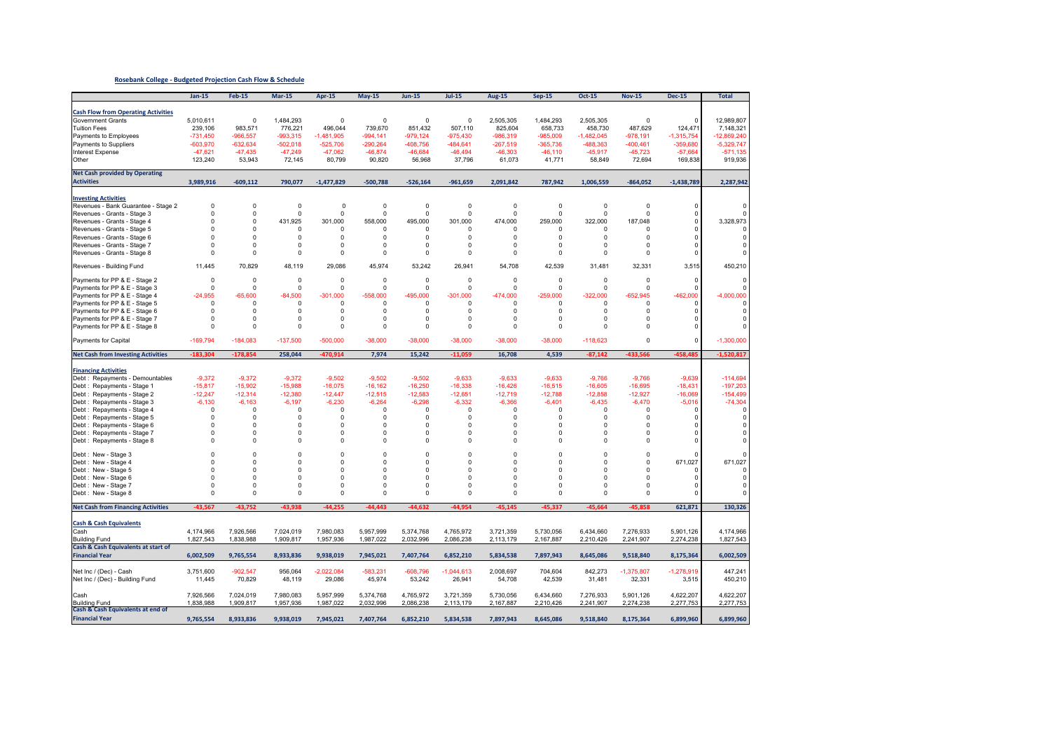#### **Rosebank College ‐ Budgeted Projection Cash Flow & Schedule**

|                                                           | $Jan-15$                | <b>Feb-15</b> | $Mar-15$                | Apr-15       | <b>May-15</b>           | <b>Jun-15</b>           | <b>Jul-15</b>           | <b>Aug-15</b>           | <b>Sep-15</b>           | <b>Oct-15</b>           | <b>Nov-15</b> | <b>Dec-15</b> | <b>Total</b>  |
|-----------------------------------------------------------|-------------------------|---------------|-------------------------|--------------|-------------------------|-------------------------|-------------------------|-------------------------|-------------------------|-------------------------|---------------|---------------|---------------|
|                                                           |                         |               |                         |              |                         |                         |                         |                         |                         |                         |               |               |               |
| <b>Cash Flow from Operating Activities</b>                |                         |               |                         |              |                         |                         |                         |                         |                         |                         |               |               |               |
| <b>Government Grants</b>                                  | 5,010,611               | $\mathsf 0$   | 1,484,293               | $\mathbf 0$  | $\Omega$                | $\mathsf 0$             | $\mathbf 0$             | 2,505,305               | 1,484,293               | 2,505,305               | 0             | $\Omega$      | 12,989,807    |
| <b>Tuition Fees</b>                                       | 239,106                 | 983,571       | 776,221                 | 496,044      | 739,670                 | 851,432                 | 507,110                 | 825,604                 | 658,733                 | 458,730                 | 487.629       | 124,471       | 7,148,321     |
| Payments to Employees                                     | $-731,450$              | $-966,557$    | $-993,315$              | $-1,481,905$ | $-994,141$              | $-979,124$              | -975,430                | $-986,319$              | $-985,009$              | $-1,482,045$            | $-978,191$    | $-1,315,754$  | $-12,869,240$ |
|                                                           |                         |               |                         |              |                         |                         |                         |                         |                         |                         |               |               |               |
| Payments to Suppliers                                     | $-603,970$              | $-632,634$    | $-502,018$              | $-525,706$   | $-290,264$              | $-408,756$              | -484,641                | $-267,519$              | $-365,736$              | -488,363                | $-400, 461$   | $-359,680$    | $-5,329,747$  |
| Interest Expense                                          | $-47,621$               | $-47,435$     | $-47,249$               | $-47,062$    | $-46,874$               | $-46,684$               | $-46,494$               | $-46,303$               | $-46, 110$              | $-45,917$               | $-45,723$     | $-57,664$     | $-571,135$    |
| Other                                                     | 123,240                 | 53,943        | 72,145                  | 80,799       | 90,820                  | 56,968                  | 37,796                  | 61,073                  | 41,771                  | 58,849                  | 72,694        | 169,838       | 919,936       |
| <b>Net Cash provided by Operating</b>                     |                         |               |                         |              |                         |                         |                         |                         |                         |                         |               |               |               |
| <b>Activities</b>                                         | 3,989,916               | $-609, 112$   | 790,077                 | $-1,477,829$ | $-500,788$              | $-526,164$              | $-961,659$              | 2,091,842               | 787,942                 | 1,006,559               | $-864,052$    | $-1,438,789$  | 2,287,942     |
|                                                           |                         |               |                         |              |                         |                         |                         |                         |                         |                         |               |               |               |
|                                                           |                         |               |                         |              |                         |                         |                         |                         |                         |                         |               |               |               |
| <b>Investing Activities</b>                               |                         |               |                         |              |                         |                         |                         |                         |                         |                         |               |               |               |
| Revenues - Bank Guarantee - Stage 2                       | $\mathbf 0$<br>$\Omega$ | 0<br>$\Omega$ | $\mathbf 0$<br>$\Omega$ | $\mathbf 0$  | $\mathbf 0$<br>$\Omega$ | $\mathbf 0$<br>$\Omega$ | $\mathbf 0$<br>$\Omega$ | $\mathbf 0$<br>$\Omega$ | $\Omega$<br>$\mathbf 0$ | $\mathbf 0$<br>$\Omega$ | 0<br>0        |               | $\Omega$      |
| Revenues - Grants - Stage 3                               | $\Omega$                |               |                         | 0            |                         |                         |                         |                         |                         |                         |               |               |               |
| Revenues - Grants - Stage 4                               |                         | $\Omega$      | 431,925                 | 301,000      | 558,000                 | 495,000                 | 301,000                 | 474,000                 | 259,000                 | 322,000                 | 187,048       | ŋ             | 3,328,973     |
| Revenues - Grants - Stage 5                               | $\Omega$                | $\Omega$      | $\Omega$                | $\mathbf 0$  | $\Omega$                | $\Omega$                | $\Omega$                | $\Omega$                | $\Omega$                | $\Omega$                | $\Omega$      | ŋ             | $\Omega$      |
| Revenues - Grants - Stage 6                               | $\Omega$                | $\Omega$      | $\Omega$                | $\Omega$     | $\Omega$                | $\Omega$                | $\Omega$                | $\Omega$                | $\Omega$                | $\Omega$                | $\Omega$      | $\Omega$      | 0             |
| Revenues - Grants - Stage 7                               | $\mathbf 0$             | 0             | 0                       | $\mathbf 0$  | $\Omega$                | 0                       | $\pmb{0}$               | $\mathbf 0$             | $\mathbf 0$             | 0                       | 0             | $\Omega$      | $\mathbf 0$   |
| Revenues - Grants - Stage 8                               | $\Omega$                | $\Omega$      | $\Omega$                | 0            | $\Omega$                | 0                       | $\mathbf 0$             | $\mathbf 0$             | $\mathbf 0$             | $\Omega$                | 0             |               | $\mathbf 0$   |
|                                                           | 11,445                  | 70,829        |                         | 29,086       | 45,974                  | 53,242                  |                         | 54,708                  | 42,539                  | 31,481                  | 32,331        | 3,515         | 450,210       |
| Revenues - Building Fund                                  |                         |               | 48,119                  |              |                         |                         | 26,941                  |                         |                         |                         |               |               |               |
| Payments for PP & E - Stage 2                             | $\mathbf 0$             | $\Omega$      | $\Omega$                | $\mathbf 0$  | $\Omega$                | $\Omega$                | $\Omega$                | $\mathbf 0$             | $\Omega$                | $\mathbf 0$             | $\Omega$      | $\Omega$      | $\Omega$      |
| Payments for PP & E - Stage 3                             | $^{\circ}$              | <sup>n</sup>  | $\Omega$                | $\mathbf 0$  | $\Omega$                | 0                       | 0                       | $\Omega$                | 0                       | <sup>n</sup>            | $\Omega$      | г             | $\Omega$      |
| Payments for PP & E - Stage 4                             | $-24,955$               | $-65.600$     | $-84.500$               | $-301,000$   | $-558,000$              | -495.000                | $-301,000$              | -474,000                | $-259.000$              | $-322,000$              | $-652.945$    | $-462,000$    | $-4,000,000$  |
| Payments for PP & E - Stage 5                             | $\Omega$                | $\Omega$      | $\Omega$                | $\Omega$     | $\Omega$                | $\Omega$                | $\Omega$                | $\Omega$                | $\Omega$                | $\Omega$                | $\Omega$      | c             | $\Omega$      |
| Payments for PP & E - Stage 6                             | $\Omega$                | $\Omega$      | $\Omega$                | $\mathbf 0$  | $\mathbf 0$             | $\Omega$                | $\mathbf 0$             | $\mathbf 0$             | $\Omega$                | $\Omega$                | 0             | 0             | $\Omega$      |
| Payments for PP & E - Stage 7                             | $\Omega$                | $\Omega$      | $\Omega$                | $\Omega$     | $\mathbf 0$             | $\Omega$                | $\Omega$                | $\Omega$                | $\Omega$                | $\Omega$                | $\Omega$      |               | $\Omega$      |
| Payments for PP & E - Stage 8                             | $\mathbf 0$             | $\Omega$      | $\Omega$                | $\mathbf 0$  | $\Omega$                | 0                       | $\mathbf 0$             | $\mathbf 0$             | $\Omega$                | $\Omega$                | 0             | C             | $\Omega$      |
|                                                           |                         |               |                         |              |                         |                         |                         |                         |                         |                         |               |               |               |
| Payments for Capital                                      | $-169,794$              | $-184,083$    | $-137,500$              | $-500.000$   | $-38,000$               | $-38,000$               | $-38.000$               | $-38,000$               | $-38.000$               | $-118,623$              | $\Omega$      | $\Omega$      | $-1,300,000$  |
|                                                           |                         |               |                         |              |                         |                         |                         |                         |                         |                         |               |               |               |
| <b>Net Cash from Investing Activities</b>                 | $-183,304$              | $-178,854$    | 258,044                 | $-470,914$   | 7,974                   | 15,242                  | $-11,059$               | 16,708                  | 4,539                   | $-87,142$               | $-433,566$    | $-458,485$    | $-1,520,817$  |
|                                                           |                         |               |                         |              |                         |                         |                         |                         |                         |                         |               |               |               |
| <b>Financing Activities</b>                               |                         |               |                         |              |                         |                         |                         |                         |                         |                         |               |               |               |
| Debt: Repayments - Demountables                           | $-9,372$                | $-9,372$      | $-9,372$                | $-9,502$     | $-9.502$                | $-9,502$                | $-9,633$                | $-9,633$                | $-9.633$                | $-9.766$                | $-9,766$      | $-9,639$      | $-114,694$    |
| Debt: Repayments - Stage 1                                | $-15,817$               | $-15,902$     | $-15,988$               | $-16,075$    | $-16,162$               | $-16,250$               | $-16,338$               | $-16,426$               | $-16,515$               | $-16,605$               | $-16,695$     | $-18,431$     | $-197,203$    |
| Debt: Repayments - Stage 2                                | $-12,247$               | $-12,314$     | $-12,380$               | $-12.447$    | $-12,515$               | $-12,583$               | $-12,651$               | $-12,719$               | $-12,788$               | $-12,858$               | $-12.927$     | $-16,069$     | $-154,499$    |
| Debt: Repayments - Stage 3                                | $-6,130$                | $-6,163$      | $-6,197$                | $-6,230$     | $-6,264$                | $-6,298$                | $-6,332$                | $-6,366$                | $-6,401$                | $-6,435$                | $-6,470$      | $-5,016$      | $-74,304$     |
| Debt: Repayments - Stage 4                                | $\Omega$                | 0             | $\Omega$                | $\mathbf 0$  | $\Omega$                | $\Omega$                | $\Omega$                | $^{\circ}$              | $\Omega$                | 0                       | 0             | C             | 0             |
| Debt: Repayments - Stage 5                                | $\Omega$                | $\Omega$      | $\Omega$                | $\Omega$     | $\Omega$                | $\Omega$                | $\Omega$                | $\Omega$                | $\Omega$                | $\Omega$                | $\Omega$      | r             | $\Omega$      |
| Debt: Repayments - Stage 6                                | $\Omega$                | $\Omega$      | $\Omega$                | $\Omega$     | $\Omega$                | $\Omega$                | $\Omega$                | $\Omega$                | $\Omega$                | <sup>n</sup>            | $\Omega$      | n             | $\Omega$      |
| Debt: Repayments - Stage 7                                | $\Omega$                | $\Omega$      | $\Omega$                | $\Omega$     | $\Omega$                | $\Omega$                | $\Omega$                | $\Omega$                | $\Omega$                | $\Omega$                | $\Omega$      | $\Omega$      | $\Omega$      |
| Debt: Repayments - Stage 8                                | $\Omega$                | $\Omega$      | $\Omega$                | $\mathbf 0$  | $\Omega$                | $\Omega$                | $\mathbf 0$             | $\Omega$                | $\mathbf 0$             | $\Omega$                | 0             | $\Omega$      | $\Omega$      |
|                                                           |                         |               |                         |              |                         |                         |                         |                         |                         |                         |               |               |               |
| Debt: New - Stage 3                                       | $\Omega$                | $\Omega$      | $\Omega$                | $\Omega$     | $\Omega$                | $\Omega$                | $\Omega$                | $\Omega$                | $\Omega$                | $\Omega$                | $\Omega$      |               | $\Omega$      |
| Debt: New - Stage 4                                       | $\Omega$                | $\Omega$      | $\Omega$                | $\Omega$     | $\Omega$                | $\Omega$                | $\Omega$                | $\Omega$                | $\mathbf 0$             | $\Omega$                | 0             | 671.027       | 671,027       |
| Debt: New - Stage 5                                       | $\Omega$                | $\Omega$      | $\Omega$                | $\mathbf 0$  | $\Omega$                | $\Omega$                | 0                       | $\mathbf 0$             | $\Omega$                | $\Omega$                | 0             |               | 0             |
| Debt: New - Stage 6                                       | $\Omega$                | $\Omega$      | $\Omega$                | $\Omega$     | $\mathbf 0$             | $\Omega$                | $\Omega$                | $\Omega$                | $\Omega$                | $\Omega$                | $\Omega$      | C             | $\mathbf 0$   |
| Debt: New - Stage 7                                       | $\Omega$                | $\Omega$      | $\Omega$                | $\Omega$     | $\Omega$                | $\Omega$                | $\Omega$                | $\Omega$                | $\Omega$                | $\Omega$                | 0             | r             | 0             |
| Debt: New - Stage 8                                       | $\Omega$                | $\Omega$      | 0                       | 0            | 0                       | 0                       | 0                       | $\Omega$                | 0                       | $\Omega$                | $\Omega$      |               | 0             |
| <b>Net Cash from Financing Activities</b>                 | $-43,567$               | $-43,752$     | $-43,938$               | $-44,255$    | $-44,443$               | $-44,632$               | $-44,954$               | $-45,145$               | $-45,337$               | $-45,664$               | $-45,858$     | 621,871       | 130,326       |
|                                                           |                         |               |                         |              |                         |                         |                         |                         |                         |                         |               |               |               |
| <b>Cash &amp; Cash Equivalents</b>                        |                         |               |                         |              |                         |                         |                         |                         |                         |                         |               |               |               |
|                                                           | 4,174,966               | 7,926,566     |                         | 7,980,083    |                         | 5,374,768               | 4,765,972               | 3,721,359               | 5,730,056               |                         | 7,276,933     | 5,901,126     | 4,174,966     |
| Cash<br><b>Building Fund</b>                              | 1,827,543               | 1,838,988     | 7,024,019<br>1,909,817  | 1,957,936    | 5,957,999<br>1,987,022  | 2,032,996               | 2,086,238               | 2,113,179               | 2,167,887               | 6,434,660<br>2,210,426  | 2,241,907     | 2,274,238     | 1,827,543     |
| Cash & Cash Equivalents at start of                       |                         |               |                         |              |                         |                         |                         |                         |                         |                         |               |               |               |
|                                                           |                         |               |                         |              |                         |                         |                         |                         |                         |                         |               |               |               |
| <b>Financial Year</b>                                     | 6,002,509               | 9,765,554     | 8,933,836               | 9,938,019    | 7,945,021               | 7,407,764               | 6,852,210               | 5,834,538               | 7,897,943               | 8,645,086               | 9,518,840     | 8,175,364     | 6,002,509     |
|                                                           |                         |               |                         |              |                         |                         |                         |                         |                         |                         |               |               |               |
| Net Inc / (Dec) - Cash                                    | 3,751,600               | $-902,547$    | 956,064                 | $-2,022,084$ | $-583,231$              | $-608,796$              | $-1,044,613$            | 2,008,697               | 704,604                 | 842,273                 | $-1,375,807$  | $-1,278,919$  | 447,241       |
| Net Inc / (Dec) - Building Fund                           | 11,445                  | 70,829        | 48,119                  | 29,086       | 45,974                  | 53,242                  | 26,941                  | 54,708                  | 42,539                  | 31,481                  | 32,331        | 3,515         | 450,210       |
|                                                           |                         |               |                         |              |                         |                         |                         |                         |                         |                         |               |               |               |
| Cash                                                      | 7,926,566               | 7.024.019     | 7,980,083               | 5.957.999    | 5,374,768               | 4,765,972               | 3,721,359               | 5,730,056               | 6.434.660               | 7,276,933               | 5,901,126     | 4,622,207     | 4,622,207     |
| <b>Building Fund</b><br>Cash & Cash Equivalents at end of | 1,838,988               | 1,909,817     | 1,957,936               | 1,987,022    | 2,032,996               | 2,086,238               | 2,113,179               | 2,167,887               | 2,210,426               | 2,241,907               | 2,274,238     | 2,277,753     | 2,277,753     |
|                                                           |                         |               |                         |              |                         |                         |                         |                         |                         |                         |               |               |               |
| <b>Financial Year</b>                                     | 9,765,554               | 8,933,836     | 9,938,019               | 7,945,021    | 7,407,764               | 6,852,210               | 5,834,538               | 7,897,943               | 8,645,086               | 9,518,840               | 8,175,364     | 6,899,960     | 6,899,960     |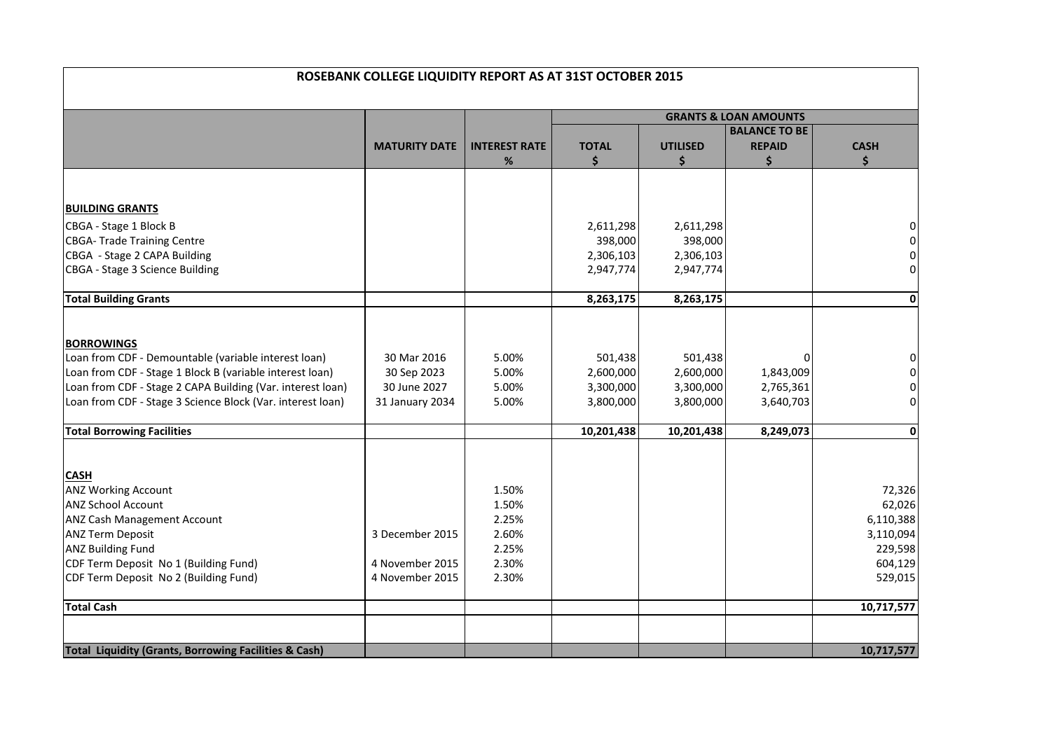|                                                                  | ROSEBANK COLLEGE LIQUIDITY REPORT AS AT 31ST OCTOBER 2015 |                      |              |                 |                                  |                |
|------------------------------------------------------------------|-----------------------------------------------------------|----------------------|--------------|-----------------|----------------------------------|----------------|
|                                                                  |                                                           |                      |              |                 | <b>GRANTS &amp; LOAN AMOUNTS</b> |                |
|                                                                  |                                                           |                      |              |                 | <b>BALANCE TO BE</b>             |                |
|                                                                  | <b>MATURITY DATE</b>                                      | <b>INTEREST RATE</b> | <b>TOTAL</b> | <b>UTILISED</b> | <b>REPAID</b>                    | <b>CASH</b>    |
|                                                                  |                                                           | $\%$                 | \$           | \$              | \$                               | \$             |
|                                                                  |                                                           |                      |              |                 |                                  |                |
| <b>BUILDING GRANTS</b>                                           |                                                           |                      |              |                 |                                  |                |
| CBGA - Stage 1 Block B                                           |                                                           |                      | 2,611,298    | 2,611,298       |                                  |                |
| <b>CBGA-Trade Training Centre</b>                                |                                                           |                      | 398,000      | 398,000         |                                  |                |
| CBGA - Stage 2 CAPA Building                                     |                                                           |                      | 2,306,103    | 2,306,103       |                                  | 0              |
| CBGA - Stage 3 Science Building                                  |                                                           |                      | 2,947,774    | 2,947,774       |                                  | $\overline{0}$ |
| <b>Total Building Grants</b>                                     |                                                           |                      | 8,263,175    | 8,263,175       |                                  | $\mathbf 0$    |
|                                                                  |                                                           |                      |              |                 |                                  |                |
| <b>BORROWINGS</b>                                                |                                                           |                      |              |                 |                                  |                |
| Loan from CDF - Demountable (variable interest loan)             | 30 Mar 2016                                               | 5.00%                | 501,438      | 501,438         |                                  | 0              |
| Loan from CDF - Stage 1 Block B (variable interest loan)         | 30 Sep 2023                                               | 5.00%                | 2,600,000    | 2,600,000       | 1,843,009                        | $\pmb{0}$      |
| Loan from CDF - Stage 2 CAPA Building (Var. interest loan)       | 30 June 2027                                              | 5.00%                | 3,300,000    | 3,300,000       | 2,765,361                        | $\pmb{0}$      |
| Loan from CDF - Stage 3 Science Block (Var. interest loan)       | 31 January 2034                                           | 5.00%                | 3,800,000    | 3,800,000       | 3,640,703                        | $\pmb{0}$      |
| <b>Total Borrowing Facilities</b>                                |                                                           |                      | 10,201,438   | 10,201,438      | 8,249,073                        | 0              |
|                                                                  |                                                           |                      |              |                 |                                  |                |
| <b>CASH</b>                                                      |                                                           |                      |              |                 |                                  |                |
| <b>ANZ Working Account</b>                                       |                                                           | 1.50%                |              |                 |                                  | 72,326         |
| <b>ANZ School Account</b>                                        |                                                           | 1.50%                |              |                 |                                  | 62,026         |
| <b>ANZ Cash Management Account</b>                               |                                                           | 2.25%                |              |                 |                                  | 6,110,388      |
| <b>ANZ Term Deposit</b>                                          | 3 December 2015                                           | 2.60%                |              |                 |                                  | 3,110,094      |
| <b>ANZ Building Fund</b>                                         |                                                           | 2.25%                |              |                 |                                  | 229,598        |
| CDF Term Deposit No 1 (Building Fund)                            | 4 November 2015                                           | 2.30%                |              |                 |                                  | 604,129        |
| CDF Term Deposit No 2 (Building Fund)                            | 4 November 2015                                           | 2.30%                |              |                 |                                  | 529,015        |
| <b>Total Cash</b>                                                |                                                           |                      |              |                 |                                  | 10,717,577     |
|                                                                  |                                                           |                      |              |                 |                                  |                |
| <b>Total Liquidity (Grants, Borrowing Facilities &amp; Cash)</b> |                                                           |                      |              |                 |                                  | 10,717,577     |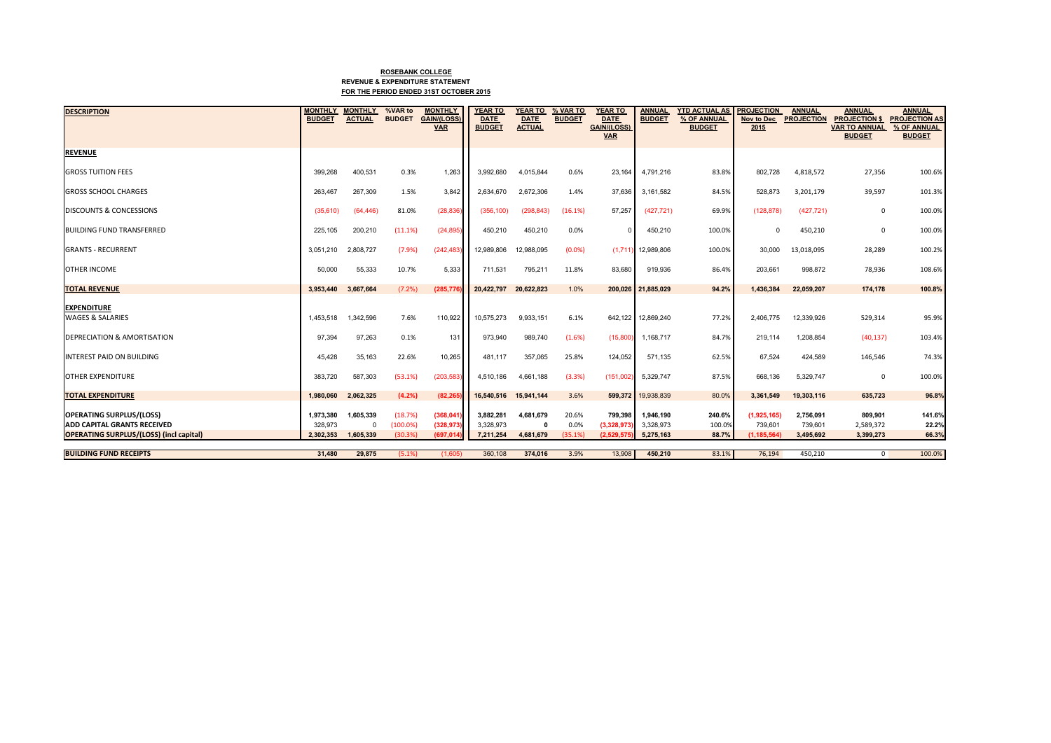### **ROSEBANK COLLEGE REVENUE & EXPENDITURE STATEMENTFOR THE PERIOD ENDED 31ST OCTOBER 2015**

| <b>DESCRIPTION</b>                                                                   | <b>MONTHLY</b><br><b>BUDGET</b> | <b>MONTHLY</b><br><b>ACTUAL</b> | %VAR to<br><b>BUDGET</b> | <b>MONTHLY</b><br><b>GAIN/(LOSS)</b> | <b>YEAR TO</b><br><b>DATE</b> | <b>YEAR TO</b><br><b>DATE</b> | % VAR TO<br><b>BUDGET</b> | <b>YEAR TO</b><br><b>DATE</b>    | <b>ANNUAL</b><br><b>BUDGET</b> | <b>YTD ACTUAL AS</b><br>% OF ANNUAL | <b>PROJECTION</b><br>Nov to Dec | <b>ANNUAL</b><br><b>PROJECTION</b> | <b>ANNUAL</b><br><b>PROJECTION \$ PROJECTION AS</b> | <b>ANNUAL</b>                |
|--------------------------------------------------------------------------------------|---------------------------------|---------------------------------|--------------------------|--------------------------------------|-------------------------------|-------------------------------|---------------------------|----------------------------------|--------------------------------|-------------------------------------|---------------------------------|------------------------------------|-----------------------------------------------------|------------------------------|
|                                                                                      |                                 |                                 |                          | <b>VAR</b>                           | <b>BUDGET</b>                 | <b>ACTUAL</b>                 |                           | <b>GAIN/(LOSS)</b><br><b>VAR</b> |                                | <b>BUDGET</b>                       | 2015                            |                                    | <b>VAR TO ANNUAL</b><br><b>BUDGET</b>               | % OF ANNUAL<br><b>BUDGET</b> |
| <b>REVENUE</b>                                                                       |                                 |                                 |                          |                                      |                               |                               |                           |                                  |                                |                                     |                                 |                                    |                                                     |                              |
| <b>GROSS TUITION FEES</b>                                                            | 399,268                         | 400,531                         | 0.3%                     | 1.263                                | 3.992.680                     | 4,015,844                     | 0.6%                      | 23.164                           | 4.791.216                      | 83.8%                               | 802,728                         | 4,818,572                          | 27,356                                              | 100.6%                       |
| <b>GROSS SCHOOL CHARGES</b>                                                          | 263,467                         | 267,309                         | 1.5%                     | 3,842                                | 2,634,670                     | 2,672,306                     | 1.4%                      | 37,636                           | 3,161,582                      | 84.5%                               | 528,873                         | 3,201,179                          | 39,597                                              | 101.3%                       |
| <b>DISCOUNTS &amp; CONCESSIONS</b>                                                   | (35,610)                        | (64, 446)                       | 81.0%                    | (28, 836)                            | (356, 100)                    | (298, 843)                    | (16.1%)                   | 57,257                           | (427, 721)                     | 69.9%                               | (128, 878)                      | (427, 721)                         | $\mathbf{0}$                                        | 100.0%                       |
| <b>BUILDING FUND TRANSFERRED</b>                                                     | 225,105                         | 200,210                         | (11.1%)                  | (24, 895)                            | 450,210                       | 450,210                       | 0.0%                      |                                  | 450,210                        | 100.0%                              | 0                               | 450,210                            | $\mathbf{0}$                                        | 100.0%                       |
| <b>GRANTS - RECURRENT</b>                                                            | 3,051,210                       | 2.808.727                       | (7.9%                    | (242, 483)                           | 12.989.806                    | 12,988,095                    | (0.0%                     | (1.711)                          | 12.989.806                     | 100.0%                              | 30,000                          | 13,018,095                         | 28,289                                              | 100.2%                       |
| <b>OTHER INCOME</b>                                                                  | 50,000                          | 55,333                          | 10.7%                    | 5,333                                | 711.531                       | 795,211                       | 11.8%                     | 83.680                           | 919.936                        | 86.4%                               | 203,661                         | 998,872                            | 78,936                                              | 108.6%                       |
| <b>TOTAL REVENUE</b>                                                                 | 3,953,440                       | 3,667,664                       | $(7.2\%)$                | (285,776                             | 20,422,797                    | 20,622,823                    | 1.0%                      |                                  | 200,026 21,885,029             | 94.2%                               | 1,436,384                       | 22,059,207                         | 174,178                                             | 100.8%                       |
| <b>EXPENDITURE</b><br><b>WAGES &amp; SALARIES</b>                                    |                                 |                                 | 7.6%                     |                                      |                               |                               |                           |                                  |                                |                                     |                                 |                                    |                                                     |                              |
|                                                                                      | 1,453,518                       | 1,342,596                       |                          | 110,922                              | 10,575,273                    | 9,933,151                     | 6.1%                      | 642,122                          | 12,869,240                     | 77.2%                               | 2,406,775                       | 12,339,926                         | 529,314                                             | 95.9%                        |
| <b>DEPRECIATION &amp; AMORTISATION</b>                                               | 97,394                          | 97,263                          | 0.1%                     | 131                                  | 973,940                       | 989,740                       | (1.6%)                    | (15,800)                         | 1,168,717                      | 84.7%                               | 219,114                         | 1,208,854                          | (40, 137)                                           | 103.4%                       |
| <b>INTEREST PAID ON BUILDING</b>                                                     | 45,428                          | 35,163                          | 22.6%                    | 10,265                               | 481,117                       | 357,065                       | 25.8%                     | 124,052                          | 571,135                        | 62.5%                               | 67,524                          | 424,589                            | 146,546                                             | 74.3%                        |
| <b>OTHER EXPENDITURE</b>                                                             | 383,720                         | 587,303                         | (53.1%)                  | (203,583                             | 4,510,186                     | 4,661,188                     | (3.3%)                    | (151,002)                        | 5,329,747                      | 87.5%                               | 668,136                         | 5,329,747                          | $\mathbf{0}$                                        | 100.0%                       |
| <b>TOTAL EXPENDITURE</b>                                                             | 1,980,060                       | 2,062,325                       | (4.2%)                   | (82, 265)                            | 16,540,516                    | 15,941,144                    | 3.6%                      | 599,372                          | 19,938,839                     | 80.0%                               | 3,361,549                       | 19,303,116                         | 635,723                                             | 96.8%                        |
| <b>OPERATING SURPLUS/(LOSS)</b>                                                      | 1,973,380                       | 1,605,339                       | (18.7%)                  | (368, 041)                           | 3,882,281                     | 4,681,679                     | 20.6%                     | 799.398                          | 1.946.190                      | 240.6%                              | (1,925,165)                     | 2,756,091                          | 809.901                                             | 141.6%                       |
| <b>ADD CAPITAL GRANTS RECEIVED</b><br><b>OPERATING SURPLUS/(LOSS) (incl capital)</b> | 328,973<br>2,302,353            | $\Omega$<br>1,605,339           | (100.0%<br>(30.3%        | (328, 973)<br>(697, 014)             | 3,328,973<br>7,211,254        | $\mathbf{0}$<br>4,681,679     | 0.0%<br>(35.1%            | (3,328,973)<br>(2,529,575)       | 3,328,973<br>5,275,163         | 100.0%<br>88.7%                     | 739,601<br>(1, 185, 564)        | 739,601<br>3,495,692               | 2,589,372<br>3,399,273                              | 22.2%<br>66.3%               |
| <b>BUILDING FUND RECEIPTS</b>                                                        | 31.480                          | 29.875                          | $(5.1\%)$                | (1.605)                              | 360,108                       | 374.016                       | 3.9%                      | 13,908                           | 450.210                        | 83.1%                               | 76.194                          | 450.210                            | $\Omega$                                            | 100.0%                       |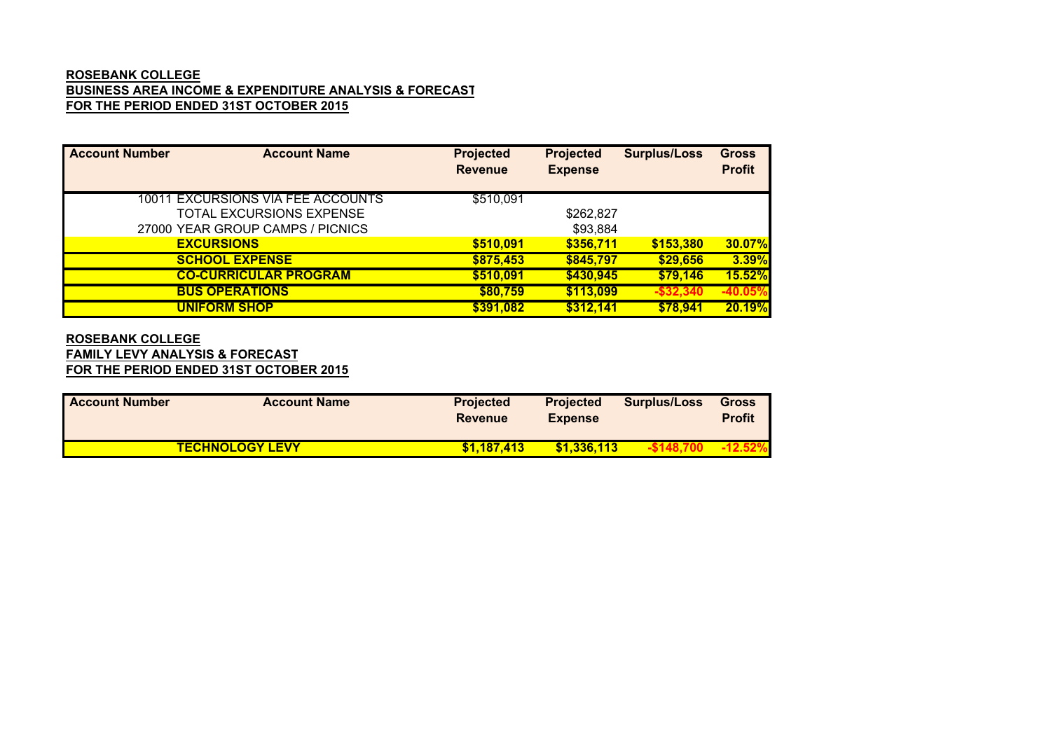## **ROSEBANK COLLEGE BUSINESS AREA INCOME & EXPENDITURE ANALYSIS & FORECAST FOR THE PERIOD ENDED 31ST OCTOBER 2015**

| <b>Account Number</b> | <b>Account Name</b>               | <b>Projected</b> | <b>Projected</b> | <b>Surplus/Loss</b> | <b>Gross</b>  |
|-----------------------|-----------------------------------|------------------|------------------|---------------------|---------------|
|                       |                                   | <b>Revenue</b>   | <b>Expense</b>   |                     | <b>Profit</b> |
|                       |                                   |                  |                  |                     |               |
|                       | 10011 EXCURSIONS VIA FEE ACCOUNTS | \$510,091        |                  |                     |               |
|                       | TOTAL EXCURSIONS EXPENSE          |                  | \$262,827        |                     |               |
|                       | 27000 YEAR GROUP CAMPS / PICNICS  |                  | \$93,884         |                     |               |
|                       | <b>EXCURSIONS</b>                 | \$510,091        | \$356,711        | \$153,380           | 30.07%        |
|                       | <b>SCHOOL EXPENSE</b>             | \$875,453        | \$845,797        | \$29,656            | 3.39%         |
|                       | <b>CO-CURRICULAR PROGRAM</b>      | \$510,091        | \$430,945        | \$79,146            | 15.52%        |
|                       | <b>BUS OPERATIONS</b>             | \$80,759         | \$113,099        | $-$ \$32,340        | $-40.05\%$    |
|                       | <b>UNIFORM SHOP</b>               | \$391,082        | \$312,141        | \$78,941            | 20.19%        |

### **FAMILY LEVY ANALYSIS & FORECAST FOR THE PERIOD ENDED 31ST OCTOBER 2015 ROSEBANK COLLEGE**

| <b>Account Number</b> | <b>Account Name</b>    | <b>Projected</b><br><b>Revenue</b> | <b>Projected</b><br><b>Expense</b> | <b>Surplus/Loss</b> | <b>Gross</b><br><b>Profit</b> |
|-----------------------|------------------------|------------------------------------|------------------------------------|---------------------|-------------------------------|
|                       | <b>TECHNOLOGY LEVY</b> | \$1.187.413                        | \$1,336,113                        |                     |                               |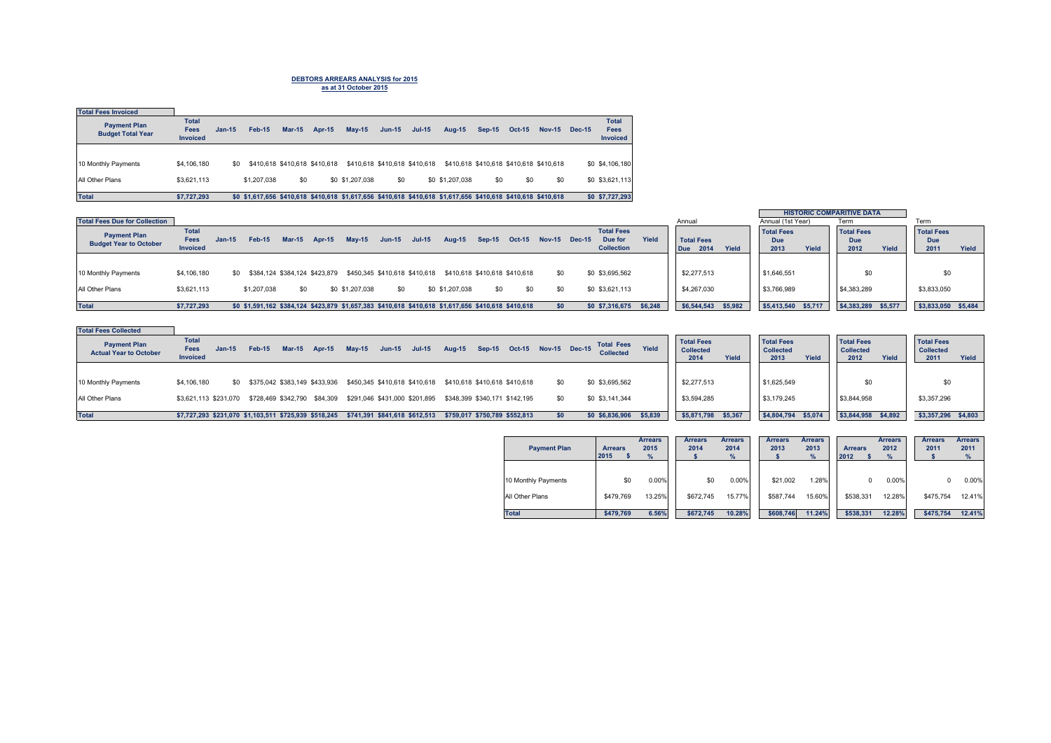# **DEBTORS ARREARS ANALYSIS for 2015 as at 31 October 2015**

| <b>Total Fees Invoiced</b>                      |                                                |          |                               |          |               |                 |                               |               |                                                                                                               |               |                                         |               |               |                                                |
|-------------------------------------------------|------------------------------------------------|----------|-------------------------------|----------|---------------|-----------------|-------------------------------|---------------|---------------------------------------------------------------------------------------------------------------|---------------|-----------------------------------------|---------------|---------------|------------------------------------------------|
| <b>Payment Plan</b><br><b>Budget Total Year</b> | <b>Total</b><br><b>Fees</b><br><b>Invoiced</b> | $Jan-15$ | <b>Feb-15</b>                 | $Mar-15$ | <b>Apr-15</b> | $May-15$        | $Jun-15$                      | <b>Jul-15</b> | <b>Aug-15</b>                                                                                                 | <b>Sep-15</b> | <b>Oct-15</b>                           | <b>Nov-15</b> | <b>Dec-15</b> | <b>Total</b><br><b>Fees</b><br><b>Invoiced</b> |
|                                                 |                                                |          |                               |          |               |                 |                               |               |                                                                                                               |               |                                         |               |               |                                                |
| 10 Monthly Payments                             | \$4,106,180                                    | \$0      | \$410,618 \$410,618 \$410,618 |          |               |                 | \$410,618 \$410,618 \$410,618 |               |                                                                                                               |               | \$410.618 \$410.618 \$410.618 \$410.618 |               |               | \$0 \$4,106,180                                |
| All Other Plans                                 | \$3.621.113                                    |          | \$1,207,038                   | \$0      |               | \$0 \$1,207,038 | \$0                           |               | \$0 \$1,207,038                                                                                               | \$0           | \$0                                     | \$0           |               | \$0 \$3,621,113                                |
| <b>Total</b>                                    | \$7,727,293                                    |          |                               |          |               |                 |                               |               | \$0 \$1,617,656 \$410,618 \$410,618 \$1,617,656 \$410,618 \$410,618 \$1,617,656 \$410,618 \$410,618 \$410,618 |               |                                         |               |               | \$0 \$7,727,293                                |

|                                      |                 |          |             |          |                               |                                                                                                     |                               |          |                 |                               |               |               |                   |         |                     |       |                     |       | <b>HISTORIC COMPARITIVE DATA</b> |         |                     |       |
|--------------------------------------|-----------------|----------|-------------|----------|-------------------------------|-----------------------------------------------------------------------------------------------------|-------------------------------|----------|-----------------|-------------------------------|---------------|---------------|-------------------|---------|---------------------|-------|---------------------|-------|----------------------------------|---------|---------------------|-------|
| <b>Total Fees Due for Collection</b> |                 |          |             |          |                               |                                                                                                     |                               |          |                 |                               |               |               |                   |         | Annual              |       | Annual (1st Year)   |       | Term                             |         | Term                |       |
| <b>Payment Plan</b>                  | <b>Total</b>    |          |             |          |                               |                                                                                                     |                               |          |                 |                               |               |               | <b>Total Fees</b> |         |                     |       | <b>Total Fees</b>   |       | <b>Total Fees</b>                |         | <b>Total Fees</b>   |       |
| <b>Budget Year to October</b>        | Fees            | $Jan-15$ | Feb-15      | $Mar-15$ | <b>Apr-15</b>                 | $Mav-15$                                                                                            | <b>Jun-15</b>                 | $Jul-15$ | <b>Aug-15</b>   | $Sep-15$                      | <b>Oct-15</b> | Nov-15 Dec-15 | Due for           | Yield   | <b>Total Fees</b>   |       | Due                 |       | Due                              |         | <b>Due</b>          |       |
|                                      | <b>Invoiced</b> |          |             |          |                               |                                                                                                     |                               |          |                 |                               |               |               | <b>Collection</b> |         | 2014<br>Due         | Yield | 2013                | Yield | 2012                             | Yield   | 2011                | Yield |
|                                      |                 |          |             |          |                               |                                                                                                     |                               |          |                 |                               |               |               |                   |         |                     |       |                     |       |                                  |         |                     |       |
| 10 Monthly Payments                  | \$4,106,180     | SO.      |             |          | \$384.124 \$384.124 \$423.879 |                                                                                                     | \$450.345 \$410.618 \$410.618 |          |                 | \$410,618 \$410,618 \$410,618 |               | \$0           | \$0 \$3,695,562   |         | \$2,277,513         |       | \$1,646,551         |       | \$0                              |         | \$0                 |       |
| All Other Plans                      | \$3,621,113     |          | \$1,207,038 |          |                               | \$0 \$1,207,038                                                                                     | \$0                           |          | \$0 \$1,207,038 | \$0                           |               | \$0           | \$0 \$3,621,113   |         | \$4,267,030         |       | \$3,766,989         |       | \$4,383,289                      |         | \$3,833,050         |       |
| <b>Total</b>                         | \$7.727.293     |          |             |          |                               | \$0 \$1,591,162 \$384,124 \$423,879 \$1,657,383 \$410,618 \$410,618 \$1,617,656 \$410,618 \$410,618 |                               |          |                 |                               |               |               | \$0 \$7,316,675   | \$6.248 | \$6,544,543 \$5,982 |       | \$5,413,540 \$5,717 |       | \$4,383,289                      | \$5,577 | \$3,833,050 \$5,484 |       |

| <b>Total Fees Collected</b>                          |                                                                                |                                                                                               |                                                                                                                         |                                                                 |                                                        |                                                        |
|------------------------------------------------------|--------------------------------------------------------------------------------|-----------------------------------------------------------------------------------------------|-------------------------------------------------------------------------------------------------------------------------|-----------------------------------------------------------------|--------------------------------------------------------|--------------------------------------------------------|
| <b>Payment Plan</b><br><b>Actual Year to October</b> | <b>Total</b><br>Fees<br>Mar-15 Apr-15<br>Feb-15<br>$Jan-15$<br><b>Invoiced</b> | <b>Sep-15</b><br>$Jul-15$<br>$Jun-15$<br>Aug-15<br>$Mav-15$                                   | <b>Total Fees</b><br><b>Total Fees</b><br>Yield<br>Oct-15 Nov-15 Dec-15<br><b>Collected</b><br><b>Collected</b><br>2014 | <b>Total Fees</b><br><b>Collected</b><br>Yield<br>2013<br>Yield | <b>Total Fees</b><br><b>Collected</b><br>2012<br>Yield | <b>Total Fees</b><br><b>Collected</b><br>2011<br>Yield |
|                                                      |                                                                                |                                                                                               |                                                                                                                         |                                                                 |                                                        |                                                        |
| 10 Monthly Payments                                  | \$4,106,180                                                                    | \$0 \$375,042 \$383,149 \$433,936 \$450,345 \$410,618 \$410,618 \$410,618 \$410,618 \$410,618 | \$2,277,513<br>\$0 \$3,695,562<br>\$0                                                                                   | \$1,625,549                                                     | \$0                                                    | \$0                                                    |
| All Other Plans                                      | \$728,469 \$342,790 \$84,309<br>\$3.621.113 \$231.070                          | \$291,046 \$431,000 \$201,895<br>\$348.399 \$340.171 \$142.195                                | \$3,594,285<br>\$0 \$3,141,344<br>\$0                                                                                   | \$3,179,245                                                     | \$3,844,958                                            | \$3,357,296                                            |
| <b>Total</b>                                         | \$7,727,293 \$231,070 \$1,103,511 \$725,939 \$518,245                          | \$741,391 \$841,618 \$612,513<br>\$759.017 \$750.789 \$552.813                                | \$5,871,798<br>\$0 \$6,836,906<br>\$5,839<br>sn.                                                                        | \$5,367<br>\$4,804,794<br>\$5,074                               | \$3,844,958 \$4,892                                    | \$3,357,296 \$4,803                                    |

| <b>Payment Plan</b> | <b>Arrears</b><br>2015 | <b>Arrears</b><br>2015<br>$\%$ | <b>Arrears</b><br>2014 | <b>Arrears</b><br>2014<br>% | <b>Arrears</b><br>2013 | <b>Arrears</b><br>2013<br>$\%$ | <b>Arrears</b><br>2012 | <b>Arrears</b><br>2012<br>% | <b>Arrears</b><br>2011 | <b>Arrears</b><br>2011<br>% |
|---------------------|------------------------|--------------------------------|------------------------|-----------------------------|------------------------|--------------------------------|------------------------|-----------------------------|------------------------|-----------------------------|
| 10 Monthly Payments | \$0                    | $0.00\%$                       | \$0                    | 0.00%                       | \$21.002               | 1.28%                          |                        | 0.00%                       |                        | 0.00%                       |
| All Other Plans     | \$479.769              | 13.25%                         | \$672,745              | 15.77%                      | \$587.744              | 15.60%                         | \$538.331              | 12.28%                      | \$475.754              | 12.41%                      |
| <b>Total</b>        | \$479.769              | 6.56%                          | \$672.745              | 10.28%                      | \$608.746              | 11.24%                         | \$538.331              | 12.28%                      | \$475.754              | 12.41%                      |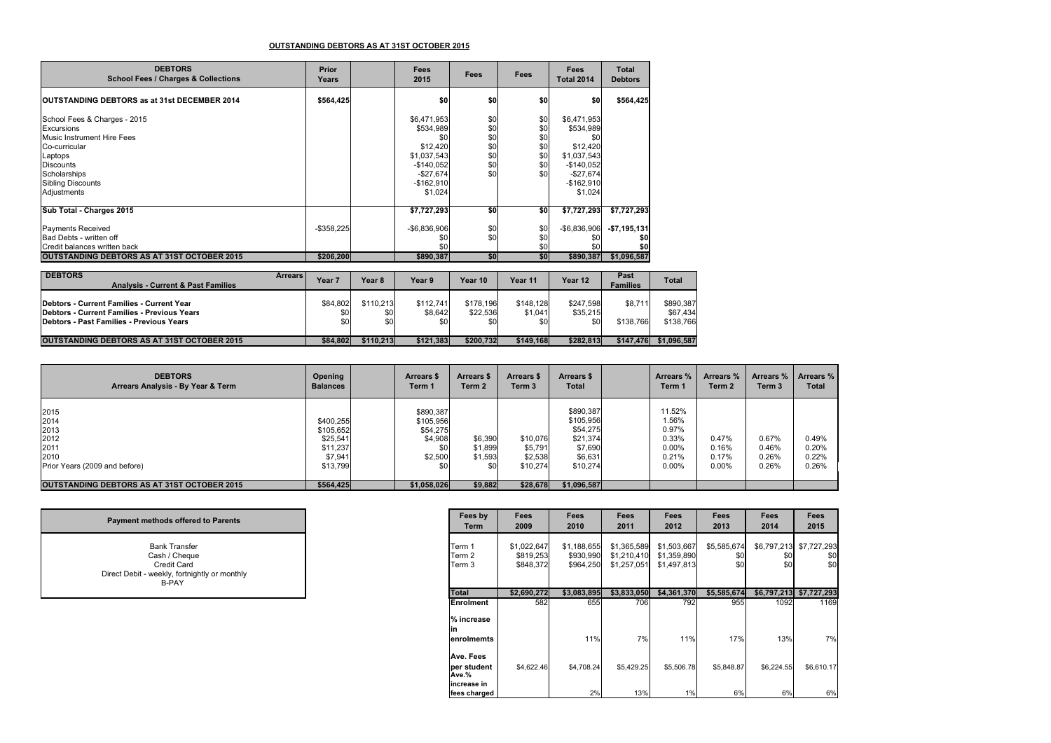### **OUTSTANDING DEBTORS AS AT 31ST OCTOBER 2015**

| <b>DEBTORS</b><br><b>School Fees / Charges &amp; Collections</b>                                                                                                                           | <b>Prior</b><br>Years      | Fees<br>2015                                                                                                      | Fees                                          | Fees                                          | Fees<br><b>Total 2014</b>                                                                                         | Total<br><b>Debtors</b>      |
|--------------------------------------------------------------------------------------------------------------------------------------------------------------------------------------------|----------------------------|-------------------------------------------------------------------------------------------------------------------|-----------------------------------------------|-----------------------------------------------|-------------------------------------------------------------------------------------------------------------------|------------------------------|
| <b>IOUTSTANDING DEBTORS as at 31st DECEMBER 2014</b>                                                                                                                                       | \$564,425                  | \$0                                                                                                               | \$0                                           | \$0                                           | \$0                                                                                                               | \$564,425                    |
| School Fees & Charges - 2015<br>Excursions<br><b>Music Instrument Hire Fees</b><br>Co-curricular<br>Laptops<br><b>Discounts</b><br>Scholarships<br><b>Sibling Discounts</b><br>Adjustments |                            | \$6,471,953<br>\$534,989<br>\$0<br>\$12,420<br>\$1,037,543<br>$-$140,052$<br>$-$27,674$<br>$-$162,910$<br>\$1,024 | \$0<br>\$0<br>\$0<br>\$0<br>\$0<br>\$0<br>\$0 | \$0<br>\$0<br>\$0<br>\$0<br>\$0<br>\$0<br>\$0 | \$6,471,953<br>\$534,989<br>\$0<br>\$12,420<br>\$1,037,543<br>$-$140,052$<br>$-$27,674$<br>$-$162,910$<br>\$1,024 |                              |
| Sub Total - Charges 2015                                                                                                                                                                   |                            | \$7,727,293                                                                                                       | \$0                                           | \$0                                           | \$7,727,293                                                                                                       | \$7,727,293                  |
| <b>Payments Received</b><br>Bad Debts - written off<br>Credit balances written back<br><b>OUTSTANDING DEBTORS AS AT 31ST OCTOBER 2015</b>                                                  | $-$ \$358,225<br>\$206,200 | $-$6,836,906$<br>\$0<br>\$0<br>\$890,387                                                                          | \$0<br>\$0<br>\$0                             | \$0<br>\$0<br>\$0<br>\$0                      | $-$6,836,906$<br>\$890,387                                                                                        | $-$7,195,131$<br>\$1,096,587 |

| <b>DEBTORS</b><br><b>Analysis - Current &amp; Past Families</b>                                                                      | <b>Arrears</b><br>Year∶ | Year 8                                | Year 9               | Year 10                      | Year 11                     | Year 12                      | Past<br><b>Families</b> | <b>Total</b>                       |
|--------------------------------------------------------------------------------------------------------------------------------------|-------------------------|---------------------------------------|----------------------|------------------------------|-----------------------------|------------------------------|-------------------------|------------------------------------|
| Debtors - Current Families - Current Year<br>Debtors - Current Families - Previous Years<br>Debtors - Past Families - Previous Years | \$84,802                | \$110.213<br>\$0<br>\$0<br>\$0<br>\$0 | \$112.741<br>\$8.642 | \$178.196<br>\$22,536<br>\$0 | \$148.128<br>\$1,041<br>\$0 | \$247.598<br>\$35,215<br>\$0 | \$8.711<br>\$138.766    | \$890.387<br>\$67.434<br>\$138.766 |
| <b>OUTSTANDING DEBTORS AS AT 31ST OCTOBER 2015</b>                                                                                   | \$84.802                | \$110.213                             | \$121.383            | \$200.732                    | \$149.168                   | \$282.813                    | \$147.476               | \$1.096.587                        |

| <b>DEBTORS</b><br>Arrears Analysis - By Year & Term                           | Opening<br><b>Balances</b>                                            | Arrears \$<br>Term 1                                     | <b>Arrears \$</b><br>Term <sub>2</sub> | <b>Arrears \$</b><br>Term 3                | Arrears \$<br><b>Total</b>                                                       | Arrears %<br>Term 1                                                | Arrears %<br>Term 2                 | Arrears %<br>Term 3              | Arrears %<br><b>Total</b>        |
|-------------------------------------------------------------------------------|-----------------------------------------------------------------------|----------------------------------------------------------|----------------------------------------|--------------------------------------------|----------------------------------------------------------------------------------|--------------------------------------------------------------------|-------------------------------------|----------------------------------|----------------------------------|
| 2015<br>2014<br>2013<br>2012<br>2011<br>2010<br>Prior Years (2009 and before) | \$400.255<br>\$105.652<br>\$25,541<br>\$11,237<br>\$7,941<br>\$13,799 | \$890,387<br>\$105,956<br>\$54,275<br>\$4,908<br>\$2,500 | \$6,390<br>\$1.899<br>\$1,593<br>\$0   | \$10,076<br>\$5,791<br>\$2,538<br>\$10,274 | \$890,387<br>\$105,956<br>\$54,275<br>\$21,374<br>\$7,690<br>\$6,631<br>\$10,274 | 11.52%<br>1.56%<br>0.97%<br>0.33%<br>$0.00\%$<br>0.21%<br>$0.00\%$ | 0.47%<br>0.16%<br>0.17%<br>$0.00\%$ | 0.67%<br>0.46%<br>0.26%<br>0.26% | 0.49%<br>0.20%<br>0.22%<br>0.26% |
| <b>OUTSTANDING DEBTORS AS AT 31ST OCTOBER 2015</b>                            | \$564,425                                                             | \$1,058,026                                              | \$9,882                                | \$28,678                                   | \$1,096,587                                                                      |                                                                    |                                     |                                  |                                  |

| <b>Payment methods offered to Parents</b>                                                                             |  |
|-----------------------------------------------------------------------------------------------------------------------|--|
| <b>Bank Transfer</b><br>Cash / Cheque<br>Credit Card<br>Direct Debit - weekly, fortnightly or monthly<br><b>B-PAY</b> |  |

| Fees by<br>Term                   | Fees<br>2009                          | Fees<br>2010                          | Fees<br>2011                              | Fees<br>2012                              | Fees<br>2013              | Fees<br>2014              | Fees<br>2015              |
|-----------------------------------|---------------------------------------|---------------------------------------|-------------------------------------------|-------------------------------------------|---------------------------|---------------------------|---------------------------|
| Term 1<br>Term 2<br>Term 3        | \$1,022,647<br>\$819,253<br>\$848.372 | \$1.188.655<br>\$930,990<br>\$964.250 | \$1,365,589<br>\$1,210,410<br>\$1,257,051 | \$1,503,667<br>\$1,359,890<br>\$1,497,813 | \$5,585,674<br>\$0<br>\$0 | \$6,797,213<br>\$0<br>\$0 | \$7,727,293<br>\$0<br>\$0 |
| <b>Total</b>                      | \$2,690,272                           | \$3,083,895                           | \$3,833,050                               | \$4,361,370                               | \$5,585,674               | \$6,797,213               | \$7,727,293               |
| <b>Enrolment</b>                  | 582                                   | 655                                   | 706                                       | 792                                       | 955                       | 1092                      | 1169                      |
| % increase<br>in<br>enrolmemts    |                                       | 11%                                   | 7%                                        | 11%                                       | 17%                       | 13%                       | 7%                        |
| Ave. Fees<br>per student<br>Ave.% | \$4,622.46                            | \$4,708.24                            | \$5.429.25                                | \$5,506.78                                | \$5.848.87                | \$6.224.55                | \$6.610.17                |
| increase in<br>fees charged       |                                       | 2%                                    | 13%                                       | 1%                                        | 6%                        | 6%                        | 6%                        |